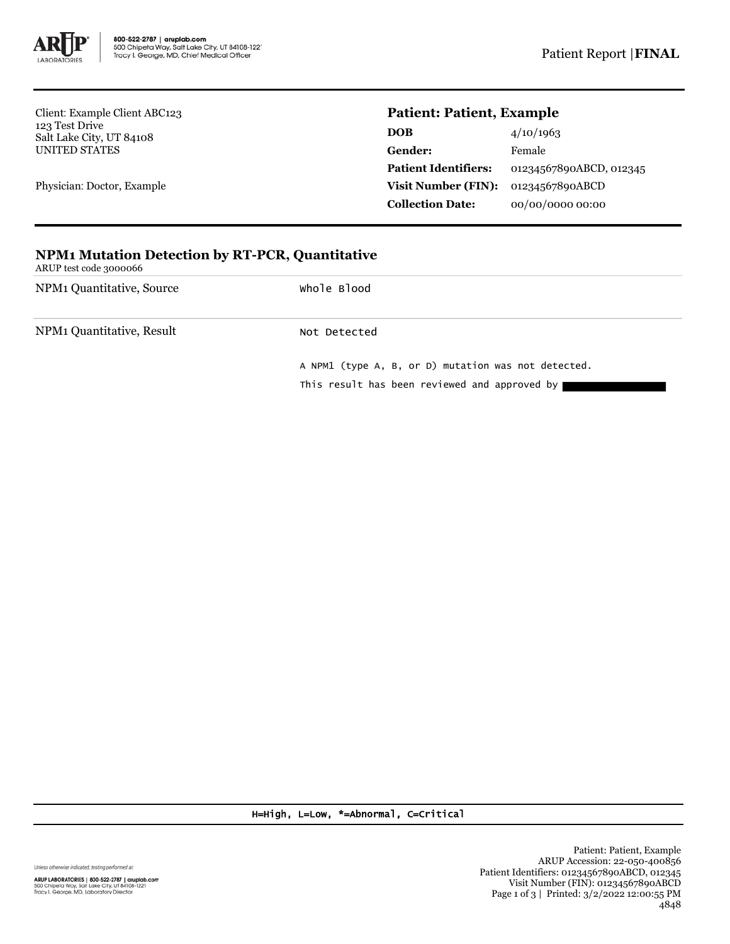

Client: Example Client ABC123 123 Test Drive Salt Lake City, UT 84108 UNITED STATES

Physician: Doctor, Example

## **Patient: Patient, Example**

| <b>DOB</b>                  | 4/10/1963               |
|-----------------------------|-------------------------|
| <b>Gender:</b>              | Female                  |
| <b>Patient Identifiers:</b> | 01234567890ABCD, 012345 |
| Visit Number (FIN):         | 01234567890ABCD         |
| <b>Collection Date:</b>     | 00/00/0000 00:00        |

## **NPM1 Mutation Detection by RT-PCR, Quantitative**

ARUP test code 3000066

NPM1 Quantitative, Source Whole Blood

NPM1 Quantitative, Result Not Detected

A NPM1 (type A, B, or D) mutation was not detected. This result has been reviewed and approved by

H=High, L=Low, \*=Abnormal, C=Critical

Unless otherwise indicated, testing performed at:

ARUP LABORATORIES | 800-522-2787 | aruplab.com<br>500 Chipeta Way, Salt Lake City, UT 84108-1221<br>Tracy I. George, MD, Laboratory Director

Patient: Patient, Example ARUP Accession: 22-050-400856 Patient Identifiers: 01234567890ABCD, 012345 Visit Number (FIN): 01234567890ABCD Page 1 of 3 | Printed: 3/2/2022 12:00:55 PM 4848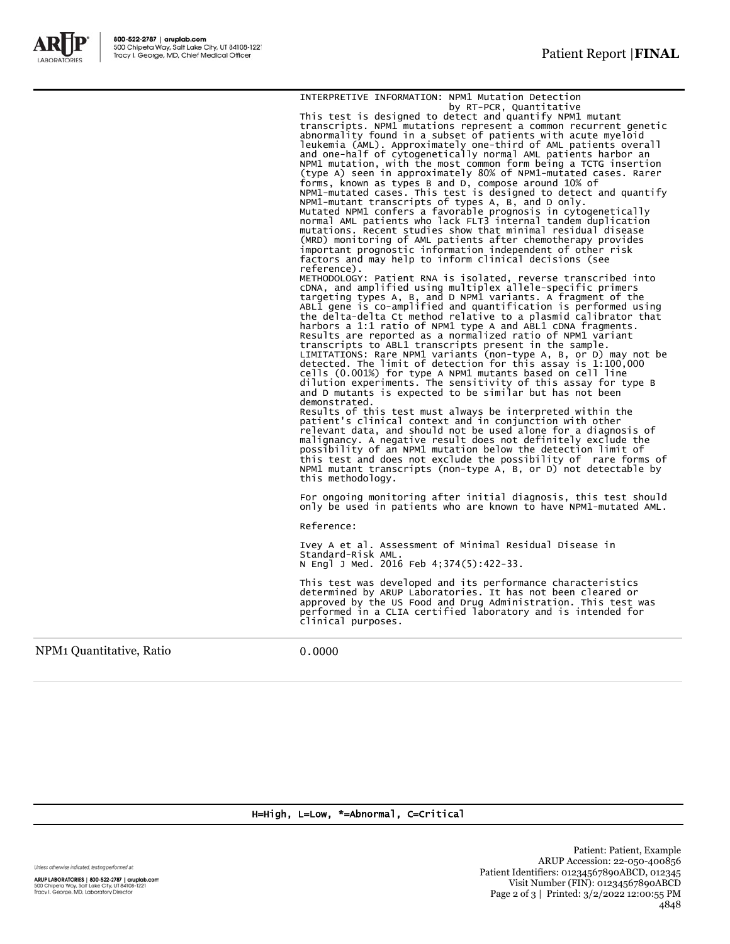

INTERPRETIVE INFORMATION: NPM1 Mutation Detection by RT-PCR, Quantitative This test is designed to detect and quantify NPM1 mutant transcripts. NPM1 mutations represent a common recurrent genetic abnormality found in a subset of patients with acute myeloid leukemia (AML). Approximately one-third of AML patients overall<br>and one-half of cytogenetically normal AML patients harbor an<br>NPM1 mutation, with the most common form being a TCTG insertion<br>(type A) seen in approximately 8 NPM1-mutant transcripts of types A, B, and D only. Mutated NPM1 confers a favorable prognosis in cytogenetically normal AML patients who lack FLT3 internal tandem duplication<br>mutations. Recent studies show that minimal residual disease<br>(MRD) monitoring of AML patients after chemotherapy provides<br>important prognostic information inde factors and may help to inform clinical decisions (see reference). METHODOLOGY: Patient RNA is isolated, reverse transcribed into<br>cDNA, and amplified using multiplex allele-specific primers<br>targeting types A, B, and D NPM1 variants. A fragment of the<br>ABL1 gene is co-amplified and quantifi the delta-delta Ct method relative to a plasmid calibrator that harbors a 1:1 ratio of NPM1 type A and ABL1 cDNA fragments. Results are reported as a normalized ratio of NPM1 variant transcripts to ABL1 transcripts present in the sample.<br>LIMITATIONS: Rare NPM1 variants (non-type A, B, or D) may not be<br>detected. The limit of detection for this assay is 1:100,000<br>cells (0.001%) for type A NPM1 mutants ba and D mutants is expected to be similar but has not been demonstrated. Results of this test must always be interpreted within the patient's clinical context and in conjunction with other relevant data, and should not be used alone for a diagnosis of malignancy. A negative result does not definitely exclude the possibility of an NPM1 mutation below the detection limit of this test and does not exclude the possibility of rare forms of NPM1 mutant transcripts (non-type A, B, or D) not detectable by this methodology. For ongoing monitoring after initial diagnosis, this test should only be used in patients who are known to have NPM1-mutated AML. Reference: Ivey A et al. Assessment of Minimal Residual Disease in Standard-Risk AML. N Engl J Med. 2016 Feb 4;374(5):422-33. This test was developed and its performance characteristics determined by ARUP Laboratories. It has not been cleared or approved by the US Food and Drug Administration. This test was performed in a CLIA certified laboratory and is intended for clinical purposes.

NPM1 Quantitative, Ratio 0.0000

## H=High, L=Low, \*=Abnormal, C=Critical

Unless otherwise indicated, testing performed at:

ARUP LABORATORIES | 800-522-2787 | aruplab.com 500 Chipeta Way, Salt Lake City, UT 84108-1221<br>Tracy I. George, MD, Laboratory Director

Patient: Patient, Example ARUP Accession: 22-050-400856 Patient Identifiers: 01234567890ABCD, 012345 Visit Number (FIN): 01234567890ABCD Page 2 of 3 | Printed: 3/2/2022 12:00:55 PM 4848